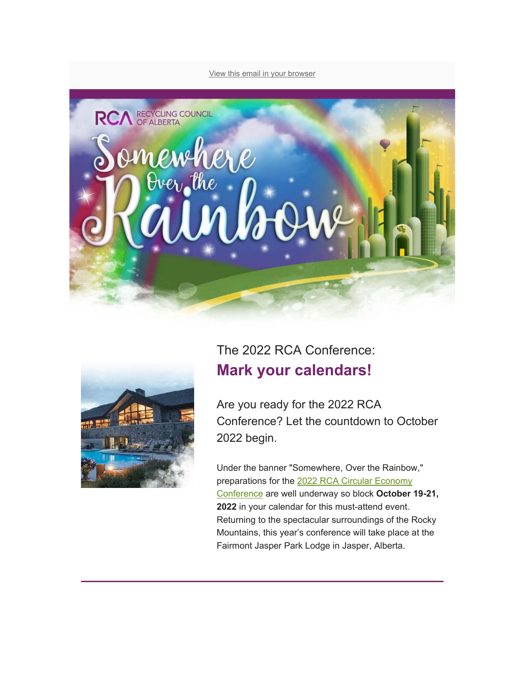View this email in your browser





## The 2022 RCA Conference: **Mark your calendars!**

Are you ready for the 2022 RCA Conference? Let the countdown to October 2022 begin.

Under the banner "Somewhere, Over the Rainbow," preparations for the 2022 RCA Circular Economy Conference are well underway so block **October 19-21, 2022** in your calendar for this must-attend event. Returning to the spectacular surroundings of the Rocky Mountains, this year's conference will take place at the Fairmont Jasper Park Lodge in Jasper, Alberta.